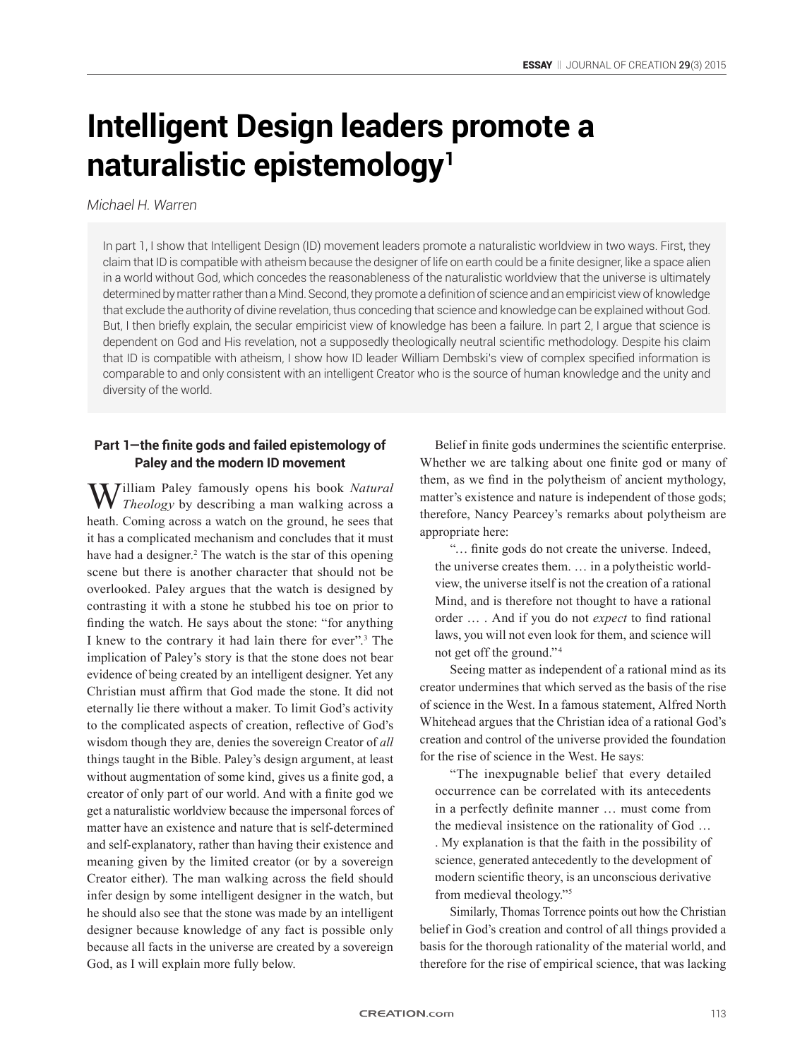# **Intelligent Design leaders promote a naturalistic epistemology<sup>1</sup>**

## *Michael H. Warren*

In part 1, I show that Intelligent Design (ID) movement leaders promote a naturalistic worldview in two ways. First, they claim that ID is compatible with atheism because the designer of life on earth could be a finite designer, like a space alien in a world without God, which concedes the reasonableness of the naturalistic worldview that the universe is ultimately determined by matter rather than a Mind. Second, they promote a definition of science and an empiricist view of knowledge that exclude the authority of divine revelation, thus conceding that science and knowledge can be explained without God. But, I then briefly explain, the secular empiricist view of knowledge has been a failure. In part 2, I argue that science is dependent on God and His revelation, not a supposedly theologically neutral scientific methodology. Despite his claim that ID is compatible with atheism, I show how ID leader William Dembski's view of complex specified information is comparable to and only consistent with an intelligent Creator who is the source of human knowledge and the unity and diversity of the world.

## **Part 1—the finite gods and failed epistemology of Paley and the modern ID movement**

William Paley famously opens his book *Natural Theology* by describing a man walking across a heath. Coming across a watch on the ground, he sees that it has a complicated mechanism and concludes that it must have had a designer.<sup>2</sup> The watch is the star of this opening scene but there is another character that should not be overlooked. Paley argues that the watch is designed by contrasting it with a stone he stubbed his toe on prior to finding the watch. He says about the stone: "for anything I knew to the contrary it had lain there for ever".3 The implication of Paley's story is that the stone does not bear evidence of being created by an intelligent designer. Yet any Christian must affirm that God made the stone. It did not eternally lie there without a maker. To limit God's activity to the complicated aspects of creation, reflective of God's wisdom though they are, denies the sovereign Creator of *all* things taught in the Bible. Paley's design argument, at least without augmentation of some kind, gives us a finite god, a creator of only part of our world. And with a finite god we get a naturalistic worldview because the impersonal forces of matter have an existence and nature that is self-determined and self-explanatory, rather than having their existence and meaning given by the limited creator (or by a sovereign Creator either). The man walking across the field should infer design by some intelligent designer in the watch, but he should also see that the stone was made by an intelligent designer because knowledge of any fact is possible only because all facts in the universe are created by a sovereign God, as I will explain more fully below.

Belief in finite gods undermines the scientific enterprise. Whether we are talking about one finite god or many of them, as we find in the polytheism of ancient mythology, matter's existence and nature is independent of those gods; therefore, Nancy Pearcey's remarks about polytheism are appropriate here:

"… finite gods do not create the universe. Indeed, the universe creates them. … in a polytheistic worldview, the universe itself is not the creation of a rational Mind, and is therefore not thought to have a rational order … . And if you do not *expect* to find rational laws, you will not even look for them, and science will not get off the ground." <sup>4</sup>

Seeing matter as independent of a rational mind as its creator undermines that which served as the basis of the rise of science in the West. In a famous statement, Alfred North Whitehead argues that the Christian idea of a rational God's creation and control of the universe provided the foundation for the rise of science in the West. He says:

"The inexpugnable belief that every detailed occurrence can be correlated with its antecedents in a perfectly definite manner … must come from the medieval insistence on the rationality of God …

. My explanation is that the faith in the possibility of science, generated antecedently to the development of modern scientific theory, is an unconscious derivative from medieval theology."5

Similarly, Thomas Torrence points out how the Christian belief in God's creation and control of all things provided a basis for the thorough rationality of the material world, and therefore for the rise of empirical science, that was lacking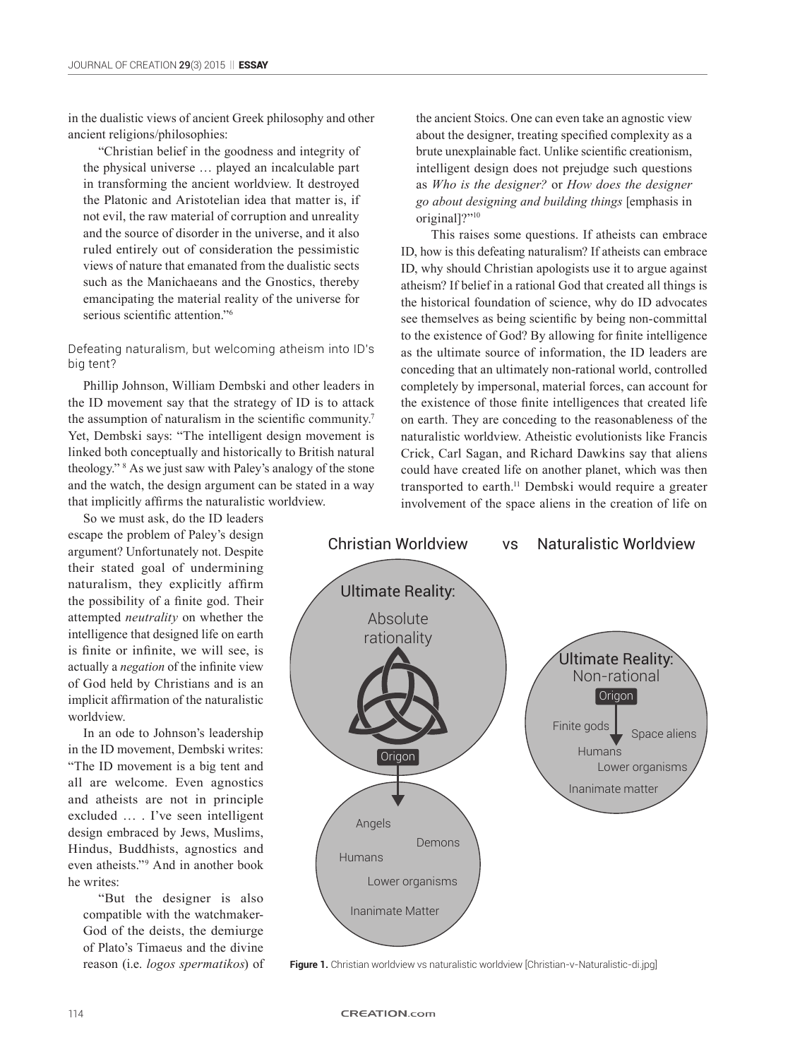in the dualistic views of ancient Greek philosophy and other ancient religions/philosophies:

"Christian belief in the goodness and integrity of the physical universe … played an incalculable part in transforming the ancient worldview. It destroyed the Platonic and Aristotelian idea that matter is, if not evil, the raw material of corruption and unreality and the source of disorder in the universe, and it also ruled entirely out of consideration the pessimistic views of nature that emanated from the dualistic sects such as the Manichaeans and the Gnostics, thereby emancipating the material reality of the universe for serious scientific attention."<sup>6</sup>

Defeating naturalism, but welcoming atheism into ID's big tent?

Phillip Johnson, William Dembski and other leaders in the ID movement say that the strategy of ID is to attack the assumption of naturalism in the scientific community.<sup>7</sup> Yet, Dembski says: "The intelligent design movement is linked both conceptually and historically to British natural theology." 8 As we just saw with Paley's analogy of the stone and the watch, the design argument can be stated in a way that implicitly affirms the naturalistic worldview.

So we must ask, do the ID leaders escape the problem of Paley's design argument? Unfortunately not. Despite their stated goal of undermining naturalism, they explicitly affirm the possibility of a finite god. Their attempted *neutrality* on whether the intelligence that designed life on earth is finite or infinite, we will see, is actually a *negation* of the infinite view of God held by Christians and is an implicit affirmation of the naturalistic worldview.

In an ode to Johnson's leadership in the ID movement, Dembski writes: "The ID movement is a big tent and all are welcome. Even agnostics and atheists are not in principle excluded … . I've seen intelligent design embraced by Jews, Muslims, Hindus, Buddhists, agnostics and even atheists."9 And in another book he writes:

"But the designer is also compatible with the watchmaker-God of the deists, the demiurge of Plato's Timaeus and the divine reason (i.e. *logos spermatikos*) of the ancient Stoics. One can even take an agnostic view about the designer, treating specified complexity as a brute unexplainable fact. Unlike scientific creationism, intelligent design does not prejudge such questions as *Who is the designer?* or *How does the designer go about designing and building things* [emphasis in original]?"<sup>10</sup>

This raises some questions. If atheists can embrace ID, how is this defeating naturalism? If atheists can embrace ID, why should Christian apologists use it to argue against atheism? If belief in a rational God that created all things is the historical foundation of science, why do ID advocates see themselves as being scientific by being non-committal to the existence of God? By allowing for finite intelligence as the ultimate source of information, the ID leaders are conceding that an ultimately non-rational world, controlled completely by impersonal, material forces, can account for the existence of those finite intelligences that created life on earth. They are conceding to the reasonableness of the naturalistic worldview. Atheistic evolutionists like Francis Crick, Carl Sagan, and Richard Dawkins say that aliens could have created life on another planet, which was then transported to earth.11 Dembski would require a greater involvement of the space aliens in the creation of life on



**Figure 1.** Christian worldview vs naturalistic worldview [Christian-v-Naturalistic-di.jpg]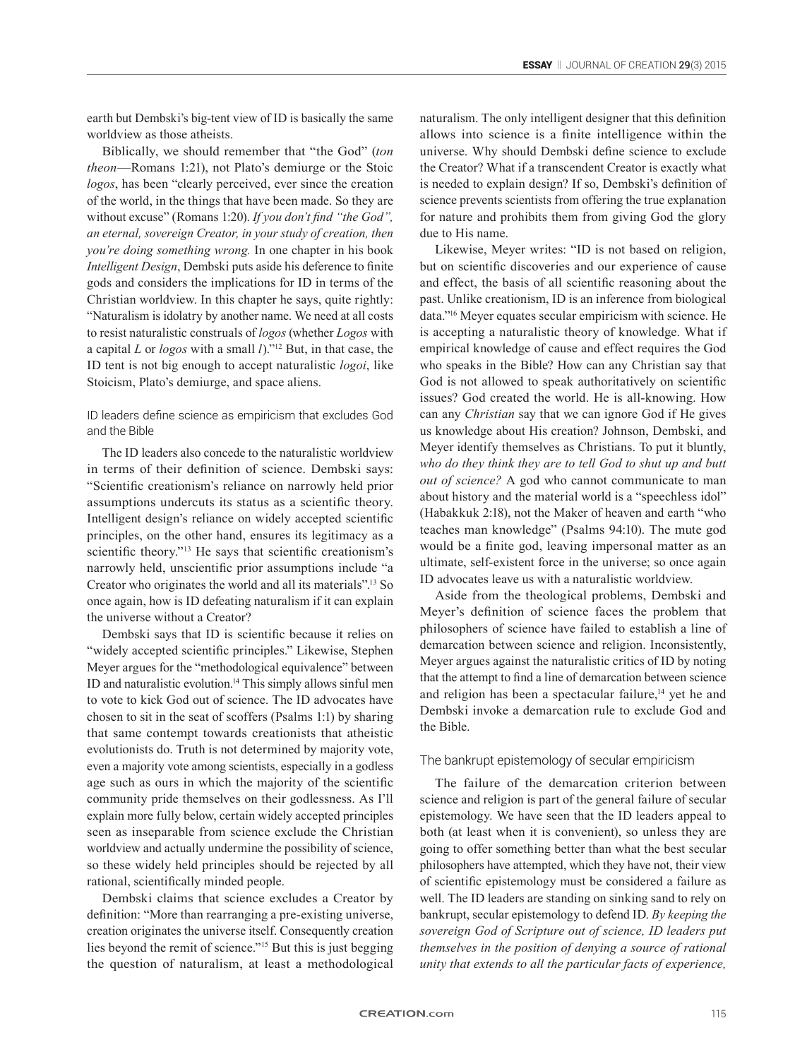earth but Dembski's big-tent view of ID is basically the same worldview as those atheists.

Biblically, we should remember that "the God" (*ton theon*—Romans 1:21), not Plato's demiurge or the Stoic *logos*, has been "clearly perceived, ever since the creation of the world, in the things that have been made. So they are without excuse" (Romans 1:20). *If you don't find "the God", an eternal, sovereign Creator, in your study of creation, then you're doing something wrong.* In one chapter in his book *Intelligent Design*, Dembski puts aside his deference to finite gods and considers the implications for ID in terms of the Christian worldview. In this chapter he says, quite rightly: "Naturalism is idolatry by another name. We need at all costs to resist naturalistic construals of *logos* (whether *Logos* with a capital *L* or *logos* with a small *l*)."12 But, in that case, the ID tent is not big enough to accept naturalistic *logoi*, like Stoicism, Plato's demiurge, and space aliens.

### ID leaders define science as empiricism that excludes God and the Bible

The ID leaders also concede to the naturalistic worldview in terms of their definition of science. Dembski says: "Scientific creationism's reliance on narrowly held prior assumptions undercuts its status as a scientific theory. Intelligent design's reliance on widely accepted scientific principles, on the other hand, ensures its legitimacy as a scientific theory."<sup>13</sup> He says that scientific creationism's narrowly held, unscientific prior assumptions include "a Creator who originates the world and all its materials".13 So once again, how is ID defeating naturalism if it can explain the universe without a Creator?

Dembski says that ID is scientific because it relies on "widely accepted scientific principles." Likewise, Stephen Meyer argues for the "methodological equivalence" between ID and naturalistic evolution.14 This simply allows sinful men to vote to kick God out of science. The ID advocates have chosen to sit in the seat of scoffers (Psalms 1:1) by sharing that same contempt towards creationists that atheistic evolutionists do. Truth is not determined by majority vote, even a majority vote among scientists, especially in a godless age such as ours in which the majority of the scientific community pride themselves on their godlessness. As I'll explain more fully below, certain widely accepted principles seen as inseparable from science exclude the Christian worldview and actually undermine the possibility of science, so these widely held principles should be rejected by all rational, scientifically minded people.

Dembski claims that science excludes a Creator by definition: "More than rearranging a pre-existing universe, creation originates the universe itself. Consequently creation lies beyond the remit of science."15 But this is just begging the question of naturalism, at least a methodological naturalism. The only intelligent designer that this definition allows into science is a finite intelligence within the universe. Why should Dembski define science to exclude the Creator? What if a transcendent Creator is exactly what is needed to explain design? If so, Dembski's definition of science prevents scientists from offering the true explanation for nature and prohibits them from giving God the glory due to His name.

Likewise, Meyer writes: "ID is not based on religion, but on scientific discoveries and our experience of cause and effect, the basis of all scientific reasoning about the past. Unlike creationism, ID is an inference from biological data."16 Meyer equates secular empiricism with science. He is accepting a naturalistic theory of knowledge. What if empirical knowledge of cause and effect requires the God who speaks in the Bible? How can any Christian say that God is not allowed to speak authoritatively on scientific issues? God created the world. He is all-knowing. How can any *Christian* say that we can ignore God if He gives us knowledge about His creation? Johnson, Dembski, and Meyer identify themselves as Christians. To put it bluntly, *who do they think they are to tell God to shut up and butt out of science?* A god who cannot communicate to man about history and the material world is a "speechless idol" (Habakkuk 2:18), not the Maker of heaven and earth "who teaches man knowledge" (Psalms 94:10). The mute god would be a finite god, leaving impersonal matter as an ultimate, self-existent force in the universe; so once again ID advocates leave us with a naturalistic worldview.

Aside from the theological problems, Dembski and Meyer's definition of science faces the problem that philosophers of science have failed to establish a line of demarcation between science and religion. Inconsistently, Meyer argues against the naturalistic critics of ID by noting that the attempt to find a line of demarcation between science and religion has been a spectacular failure, $14$  yet he and Dembski invoke a demarcation rule to exclude God and the Bible.

### The bankrupt epistemology of secular empiricism

The failure of the demarcation criterion between science and religion is part of the general failure of secular epistemology. We have seen that the ID leaders appeal to both (at least when it is convenient), so unless they are going to offer something better than what the best secular philosophers have attempted, which they have not, their view of scientific epistemology must be considered a failure as well. The ID leaders are standing on sinking sand to rely on bankrupt, secular epistemology to defend ID. *By keeping the sovereign God of Scripture out of science, ID leaders put themselves in the position of denying a source of rational unity that extends to all the particular facts of experience,*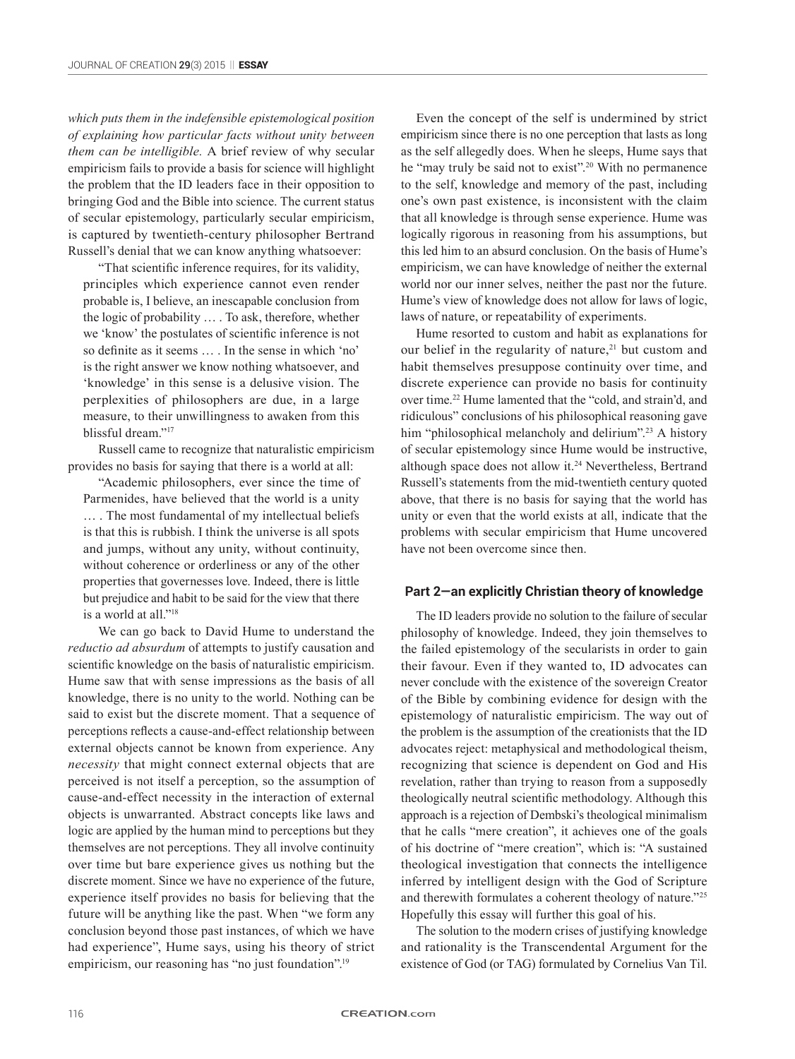*which puts them in the indefensible epistemological position of explaining how particular facts without unity between them can be intelligible.* A brief review of why secular empiricism fails to provide a basis for science will highlight the problem that the ID leaders face in their opposition to bringing God and the Bible into science. The current status of secular epistemology, particularly secular empiricism, is captured by twentieth-century philosopher Bertrand Russell's denial that we can know anything whatsoever:

"That scientific inference requires, for its validity, principles which experience cannot even render probable is, I believe, an inescapable conclusion from the logic of probability … . To ask, therefore, whether we 'know' the postulates of scientific inference is not so definite as it seems … . In the sense in which 'no' is the right answer we know nothing whatsoever, and 'knowledge' in this sense is a delusive vision. The perplexities of philosophers are due, in a large measure, to their unwillingness to awaken from this blissful dream."17

Russell came to recognize that naturalistic empiricism provides no basis for saying that there is a world at all:

"Academic philosophers, ever since the time of Parmenides, have believed that the world is a unity … . The most fundamental of my intellectual beliefs is that this is rubbish. I think the universe is all spots and jumps, without any unity, without continuity, without coherence or orderliness or any of the other properties that governesses love. Indeed, there is little but prejudice and habit to be said for the view that there is a world at all."18

We can go back to David Hume to understand the *reductio ad absurdum* of attempts to justify causation and scientific knowledge on the basis of naturalistic empiricism. Hume saw that with sense impressions as the basis of all knowledge, there is no unity to the world. Nothing can be said to exist but the discrete moment. That a sequence of perceptions reflects a cause-and-effect relationship between external objects cannot be known from experience. Any *necessity* that might connect external objects that are perceived is not itself a perception, so the assumption of cause-and-effect necessity in the interaction of external objects is unwarranted. Abstract concepts like laws and logic are applied by the human mind to perceptions but they themselves are not perceptions. They all involve continuity over time but bare experience gives us nothing but the discrete moment. Since we have no experience of the future, experience itself provides no basis for believing that the future will be anything like the past. When "we form any conclusion beyond those past instances, of which we have had experience", Hume says, using his theory of strict empiricism, our reasoning has "no just foundation".<sup>19</sup>

Even the concept of the self is undermined by strict empiricism since there is no one perception that lasts as long as the self allegedly does. When he sleeps, Hume says that he "may truly be said not to exist".<sup>20</sup> With no permanence to the self, knowledge and memory of the past, including one's own past existence, is inconsistent with the claim that all knowledge is through sense experience. Hume was logically rigorous in reasoning from his assumptions, but this led him to an absurd conclusion. On the basis of Hume's empiricism, we can have knowledge of neither the external world nor our inner selves, neither the past nor the future. Hume's view of knowledge does not allow for laws of logic, laws of nature, or repeatability of experiments.

Hume resorted to custom and habit as explanations for our belief in the regularity of nature, $21$  but custom and habit themselves presuppose continuity over time, and discrete experience can provide no basis for continuity over time.22 Hume lamented that the "cold, and strain'd, and ridiculous" conclusions of his philosophical reasoning gave him "philosophical melancholy and delirium".<sup>23</sup> A history of secular epistemology since Hume would be instructive, although space does not allow it.<sup>24</sup> Nevertheless, Bertrand Russell's statements from the mid-twentieth century quoted above, that there is no basis for saying that the world has unity or even that the world exists at all, indicate that the problems with secular empiricism that Hume uncovered have not been overcome since then.

#### **Part 2—an explicitly Christian theory of knowledge**

The ID leaders provide no solution to the failure of secular philosophy of knowledge. Indeed, they join themselves to the failed epistemology of the secularists in order to gain their favour. Even if they wanted to, ID advocates can never conclude with the existence of the sovereign Creator of the Bible by combining evidence for design with the epistemology of naturalistic empiricism. The way out of the problem is the assumption of the creationists that the ID advocates reject: metaphysical and methodological theism, recognizing that science is dependent on God and His revelation, rather than trying to reason from a supposedly theologically neutral scientific methodology. Although this approach is a rejection of Dembski's theological minimalism that he calls "mere creation", it achieves one of the goals of his doctrine of "mere creation", which is: "A sustained theological investigation that connects the intelligence inferred by intelligent design with the God of Scripture and therewith formulates a coherent theology of nature."25 Hopefully this essay will further this goal of his.

The solution to the modern crises of justifying knowledge and rationality is the Transcendental Argument for the existence of God (or TAG) formulated by Cornelius Van Til.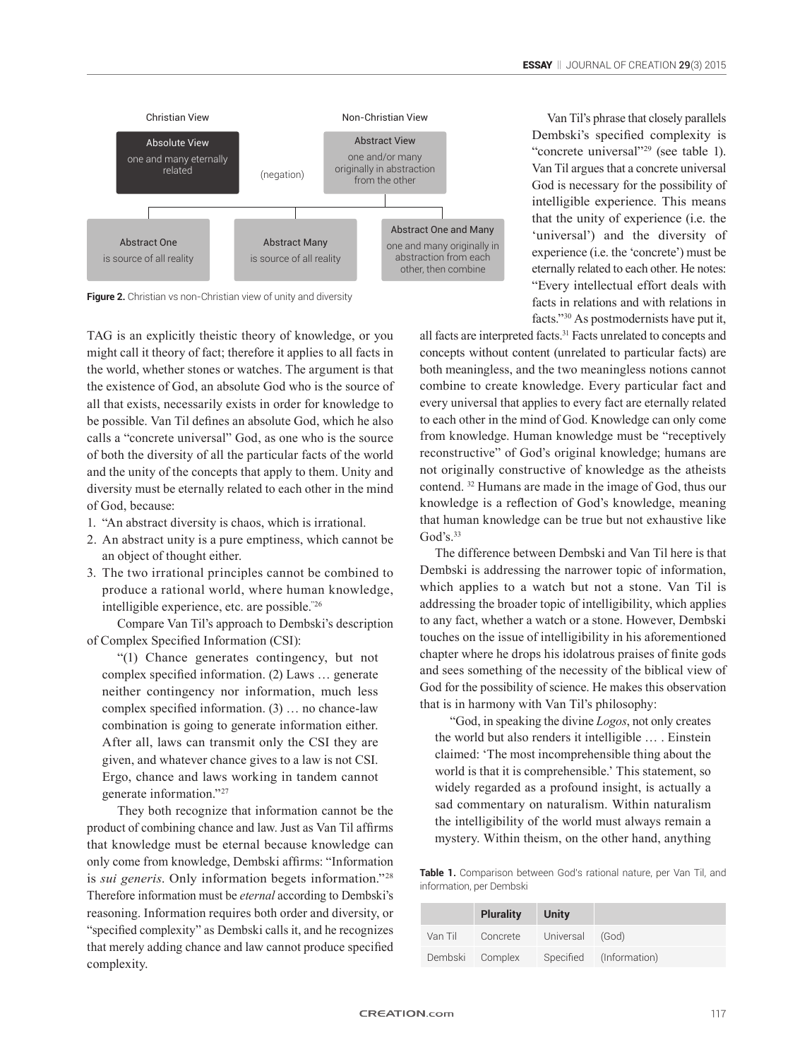

**Figure 2.** Christian vs non-Christian view of unity and diversity

TAG is an explicitly theistic theory of knowledge, or you might call it theory of fact; therefore it applies to all facts in the world, whether stones or watches. The argument is that the existence of God, an absolute God who is the source of all that exists, necessarily exists in order for knowledge to be possible. Van Til defines an absolute God, which he also calls a "concrete universal" God, as one who is the source of both the diversity of all the particular facts of the world and the unity of the concepts that apply to them. Unity and diversity must be eternally related to each other in the mind of God, because:

- 1. "An abstract diversity is chaos, which is irrational.
- 2. An abstract unity is a pure emptiness, which cannot be an object of thought either.
- 3. The two irrational principles cannot be combined to produce a rational world, where human knowledge, intelligible experience, etc. are possible."26

Compare Van Til's approach to Dembski's description of Complex Specified Information (CSI):

"(1) Chance generates contingency, but not complex specified information. (2) Laws … generate neither contingency nor information, much less complex specified information. (3) … no chance-law combination is going to generate information either. After all, laws can transmit only the CSI they are given, and whatever chance gives to a law is not CSI. Ergo, chance and laws working in tandem cannot generate information."27

They both recognize that information cannot be the product of combining chance and law. Just as Van Til affirms that knowledge must be eternal because knowledge can only come from knowledge, Dembski affirms: "Information is *sui generis*. Only information begets information."28 Therefore information must be *eternal* according to Dembski's reasoning. Information requires both order and diversity, or "specified complexity" as Dembski calls it, and he recognizes that merely adding chance and law cannot produce specified complexity.

Van Til's phrase that closely parallels Dembski's specified complexity is "concrete universal"29 (see table 1). Van Til argues that a concrete universal God is necessary for the possibility of intelligible experience. This means that the unity of experience (i.e. the 'universal') and the diversity of experience (i.e. the 'concrete') must be eternally related to each other. He notes: "Every intellectual effort deals with facts in relations and with relations in facts."30 As postmodernists have put it,

all facts are interpreted facts.31 Facts unrelated to concepts and concepts without content (unrelated to particular facts) are both meaningless, and the two meaningless notions cannot combine to create knowledge. Every particular fact and every universal that applies to every fact are eternally related to each other in the mind of God. Knowledge can only come from knowledge. Human knowledge must be "receptively reconstructive" of God's original knowledge; humans are not originally constructive of knowledge as the atheists contend. 32 Humans are made in the image of God, thus our knowledge is a reflection of God's knowledge, meaning that human knowledge can be true but not exhaustive like  $God's.<sup>33</sup>$ 

The difference between Dembski and Van Til here is that Dembski is addressing the narrower topic of information, which applies to a watch but not a stone. Van Til is addressing the broader topic of intelligibility, which applies to any fact, whether a watch or a stone. However, Dembski touches on the issue of intelligibility in his aforementioned chapter where he drops his idolatrous praises of finite gods and sees something of the necessity of the biblical view of God for the possibility of science. He makes this observation that is in harmony with Van Til's philosophy:

"God, in speaking the divine *Logos*, not only creates the world but also renders it intelligible … . Einstein claimed: 'The most incomprehensible thing about the world is that it is comprehensible.' This statement, so widely regarded as a profound insight, is actually a sad commentary on naturalism. Within naturalism the intelligibility of the world must always remain a mystery. Within theism, on the other hand, anything

**Table 1.** Comparison between God's rational nature, per Van Til, and information, per Dembski

|         | <b>Plurality</b>         | <b>Unity</b> |                         |
|---------|--------------------------|--------------|-------------------------|
| Van Til | Concrete Universal (God) |              |                         |
|         | Dembski Complex          |              | Specified (Information) |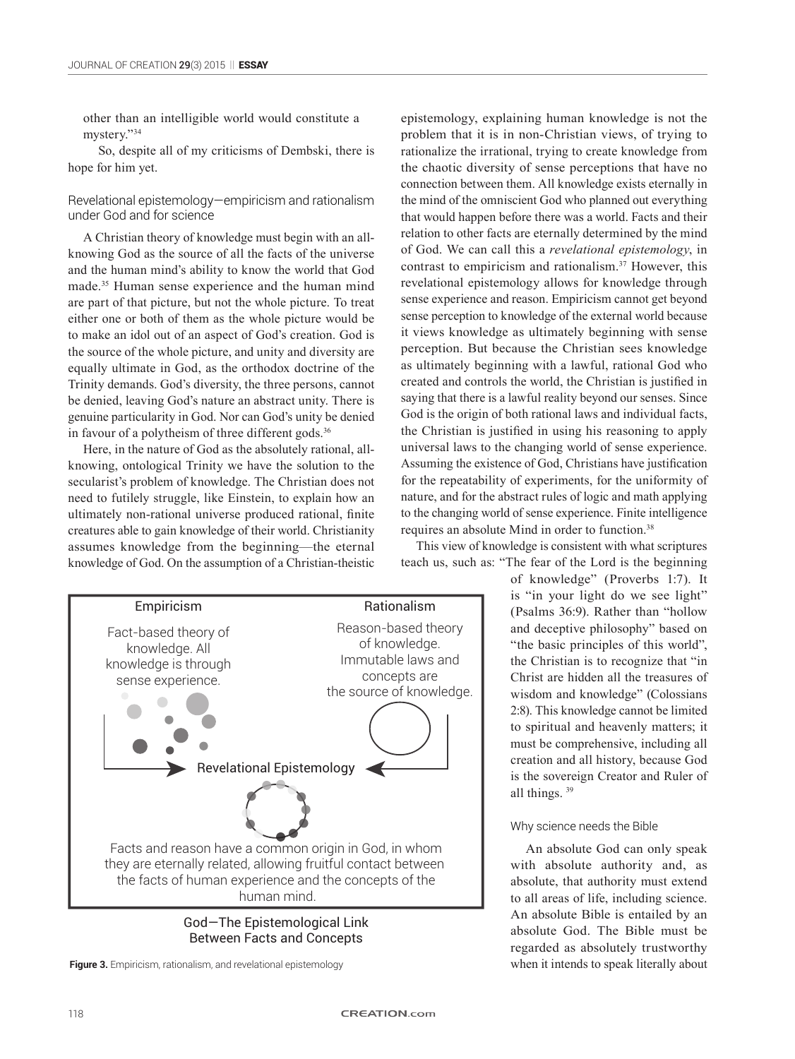other than an intelligible world would constitute a mystery."34

So, despite all of my criticisms of Dembski, there is hope for him yet.

Revelational epistemology—empiricism and rationalism under God and for science

A Christian theory of knowledge must begin with an allknowing God as the source of all the facts of the universe and the human mind's ability to know the world that God made.35 Human sense experience and the human mind are part of that picture, but not the whole picture. To treat either one or both of them as the whole picture would be to make an idol out of an aspect of God's creation. God is the source of the whole picture, and unity and diversity are equally ultimate in God, as the orthodox doctrine of the Trinity demands. God's diversity, the three persons, cannot be denied, leaving God's nature an abstract unity. There is genuine particularity in God. Nor can God's unity be denied in favour of a polytheism of three different gods.<sup>36</sup>

Here, in the nature of God as the absolutely rational, allknowing, ontological Trinity we have the solution to the secularist's problem of knowledge. The Christian does not need to futilely struggle, like Einstein, to explain how an ultimately non-rational universe produced rational, finite creatures able to gain knowledge of their world. Christianity assumes knowledge from the beginning—the eternal knowledge of God. On the assumption of a Christian-theistic



**Figure 3.** Empiricism, rationalism, and revelational epistemology when it intends to speak literally about

epistemology, explaining human knowledge is not the problem that it is in non-Christian views, of trying to rationalize the irrational, trying to create knowledge from the chaotic diversity of sense perceptions that have no connection between them. All knowledge exists eternally in the mind of the omniscient God who planned out everything that would happen before there was a world. Facts and their relation to other facts are eternally determined by the mind of God. We can call this a *revelational epistemology*, in contrast to empiricism and rationalism.37 However, this revelational epistemology allows for knowledge through sense experience and reason. Empiricism cannot get beyond sense perception to knowledge of the external world because it views knowledge as ultimately beginning with sense perception. But because the Christian sees knowledge as ultimately beginning with a lawful, rational God who created and controls the world, the Christian is justified in saying that there is a lawful reality beyond our senses. Since God is the origin of both rational laws and individual facts, the Christian is justified in using his reasoning to apply universal laws to the changing world of sense experience. Assuming the existence of God, Christians have justification for the repeatability of experiments, for the uniformity of nature, and for the abstract rules of logic and math applying to the changing world of sense experience. Finite intelligence requires an absolute Mind in order to function.38

This view of knowledge is consistent with what scriptures teach us, such as: "The fear of the Lord is the beginning

of knowledge" (Proverbs 1:7). It is "in your light do we see light" (Psalms 36:9). Rather than "hollow and deceptive philosophy" based on "the basic principles of this world", the Christian is to recognize that "in Christ are hidden all the treasures of wisdom and knowledge" (Colossians 2:8). This knowledge cannot be limited to spiritual and heavenly matters; it must be comprehensive, including all creation and all history, because God is the sovereign Creator and Ruler of all things. 39

#### Why science needs the Bible

An absolute God can only speak with absolute authority and, as absolute, that authority must extend to all areas of life, including science. An absolute Bible is entailed by an absolute God. The Bible must be regarded as absolutely trustworthy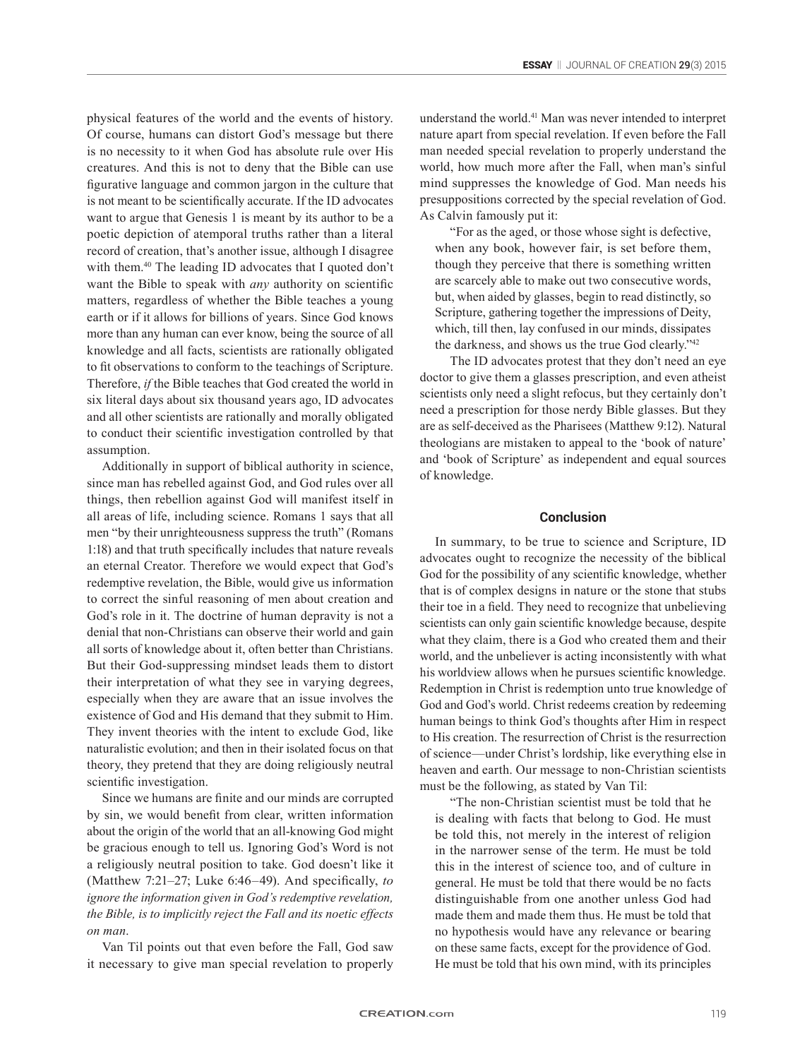physical features of the world and the events of history. Of course, humans can distort God's message but there is no necessity to it when God has absolute rule over His creatures. And this is not to deny that the Bible can use figurative language and common jargon in the culture that is not meant to be scientifically accurate. If the ID advocates want to argue that Genesis 1 is meant by its author to be a poetic depiction of atemporal truths rather than a literal record of creation, that's another issue, although I disagree with them.<sup>40</sup> The leading ID advocates that I quoted don't want the Bible to speak with *any* authority on scientific matters, regardless of whether the Bible teaches a young earth or if it allows for billions of years. Since God knows more than any human can ever know, being the source of all knowledge and all facts, scientists are rationally obligated to fit observations to conform to the teachings of Scripture. Therefore, *if* the Bible teaches that God created the world in six literal days about six thousand years ago, ID advocates and all other scientists are rationally and morally obligated to conduct their scientific investigation controlled by that assumption.

Additionally in support of biblical authority in science, since man has rebelled against God, and God rules over all things, then rebellion against God will manifest itself in all areas of life, including science. Romans 1 says that all men "by their unrighteousness suppress the truth" (Romans 1:18) and that truth specifically includes that nature reveals an eternal Creator. Therefore we would expect that God's redemptive revelation, the Bible, would give us information to correct the sinful reasoning of men about creation and God's role in it. The doctrine of human depravity is not a denial that non-Christians can observe their world and gain all sorts of knowledge about it, often better than Christians. But their God-suppressing mindset leads them to distort their interpretation of what they see in varying degrees, especially when they are aware that an issue involves the existence of God and His demand that they submit to Him. They invent theories with the intent to exclude God, like naturalistic evolution; and then in their isolated focus on that theory, they pretend that they are doing religiously neutral scientific investigation.

Since we humans are finite and our minds are corrupted by sin, we would benefit from clear, written information about the origin of the world that an all-knowing God might be gracious enough to tell us. Ignoring God's Word is not a religiously neutral position to take. God doesn't like it (Matthew 7:21–27; Luke 6:46–49). And specifically, *to ignore the information given in God's redemptive revelation, the Bible, is to implicitly reject the Fall and its noetic effects on man*.

Van Til points out that even before the Fall, God saw it necessary to give man special revelation to properly understand the world.41 Man was never intended to interpret nature apart from special revelation. If even before the Fall man needed special revelation to properly understand the world, how much more after the Fall, when man's sinful mind suppresses the knowledge of God. Man needs his presuppositions corrected by the special revelation of God. As Calvin famously put it:

"For as the aged, or those whose sight is defective, when any book, however fair, is set before them, though they perceive that there is something written are scarcely able to make out two consecutive words, but, when aided by glasses, begin to read distinctly, so Scripture, gathering together the impressions of Deity, which, till then, lay confused in our minds, dissipates the darkness, and shows us the true God clearly."<sup>42</sup>

The ID advocates protest that they don't need an eye doctor to give them a glasses prescription, and even atheist scientists only need a slight refocus, but they certainly don't need a prescription for those nerdy Bible glasses. But they are as self-deceived as the Pharisees (Matthew 9:12). Natural theologians are mistaken to appeal to the 'book of nature' and 'book of Scripture' as independent and equal sources of knowledge.

#### **Conclusion**

In summary, to be true to science and Scripture, ID advocates ought to recognize the necessity of the biblical God for the possibility of any scientific knowledge, whether that is of complex designs in nature or the stone that stubs their toe in a field. They need to recognize that unbelieving scientists can only gain scientific knowledge because, despite what they claim, there is a God who created them and their world, and the unbeliever is acting inconsistently with what his worldview allows when he pursues scientific knowledge. Redemption in Christ is redemption unto true knowledge of God and God's world. Christ redeems creation by redeeming human beings to think God's thoughts after Him in respect to His creation. The resurrection of Christ is the resurrection of science—under Christ's lordship, like everything else in heaven and earth. Our message to non-Christian scientists must be the following, as stated by Van Til:

"The non-Christian scientist must be told that he is dealing with facts that belong to God. He must be told this, not merely in the interest of religion in the narrower sense of the term. He must be told this in the interest of science too, and of culture in general. He must be told that there would be no facts distinguishable from one another unless God had made them and made them thus. He must be told that no hypothesis would have any relevance or bearing on these same facts, except for the providence of God. He must be told that his own mind, with its principles